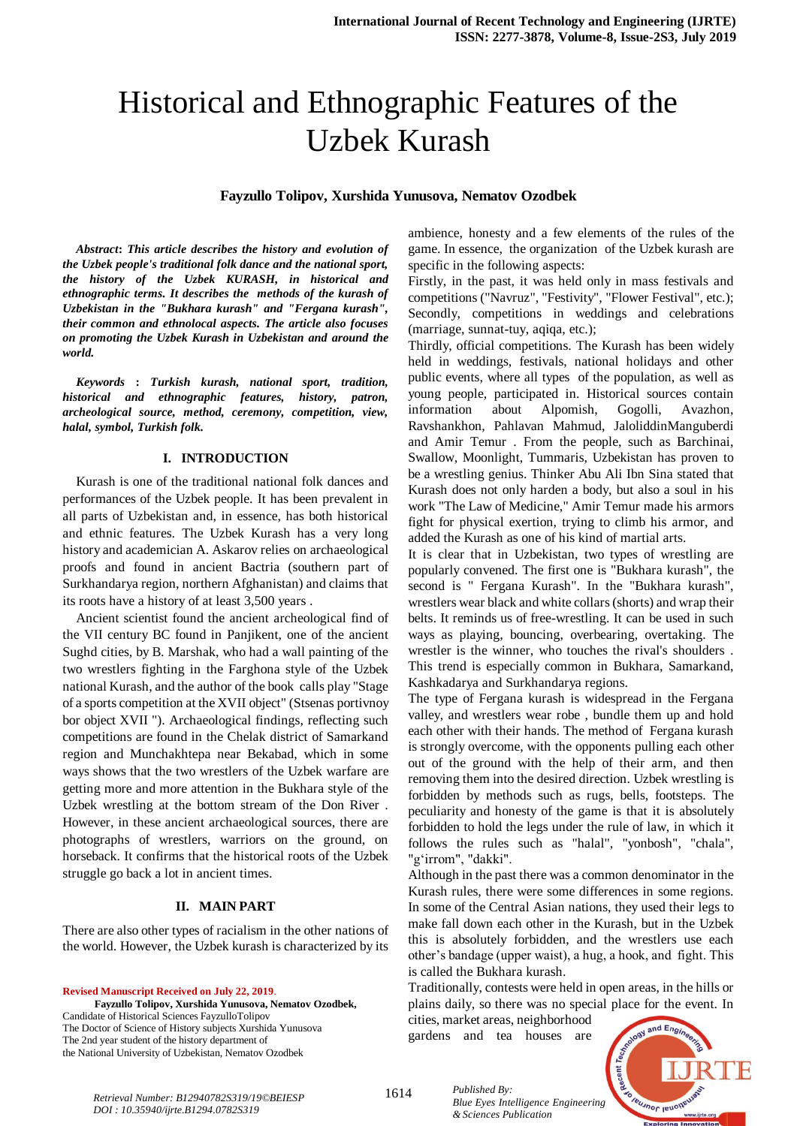# Historical and Ethnographic Features of the Uzbek Kurash

## **Fayzullo Tolipov, Xurshida Yunusova, Nematov Ozodbek**

*Abstract***:** *This article describes the history and evolution of the Uzbek people's traditional folk dance and the national sport, the history of the Uzbek KURASH, in historical and ethnographic terms. It describes the methods of the kurash of Uzbekistan in the "Bukhara kurash" and "Fergana kurash", their common and ethnolocal aspects. The article also focuses on promoting the Uzbek Kurash in Uzbekistan and around the world.*

*Keywords* **:** *Turkish kurash, national sport, tradition, historical and ethnographic features, history, patron, archeological source, method, ceremony, competition, view, halal, symbol, Turkish folk.*

#### **I. INTRODUCTION**

Kurash is one of the traditional national folk dances and performances of the Uzbek people. It has been prevalent in all parts of Uzbekistan and, in essence, has both historical and ethnic features. The Uzbek Kurash has a very long history and academician A. Askarov relies on archaeological proofs and found in ancient Bactria (southern part of Surkhandarya region, northern Afghanistan) and claims that its roots have a history of at least 3,500 years .

Ancient scientist found the ancient archeological find of the VII century BC found in Panjikent, one of the ancient Sughd cities, by B. Marshak, who had a wall painting of the two wrestlers fighting in the Farghona style of the Uzbek national Kurash, and the author of the book calls play "Stage of a sports competition at the XVII object" (Stsenas portivnoy bor object XVII "). Archaeological findings, reflecting such competitions are found in the Chelak district of Samarkand region and Munchakhtepa near Bekabad, which in some ways shows that the two wrestlers of the Uzbek warfare are getting more and more attention in the Bukhara style of the Uzbek wrestling at the bottom stream of the Don River . However, in these ancient archaeological sources, there are photographs of wrestlers, warriors on the ground, on horseback. It confirms that the historical roots of the Uzbek struggle go back a lot in ancient times.

## **II. MAIN PART**

There are also other types of racialism in the other nations of the world. However, the Uzbek kurash is characterized by its

**Revised Manuscript Received on July 22, 2019**. **Fayzullo Tolipov, Xurshida Yunusova, Nematov Ozodbek,** Candidate of Historical Sciences FayzulloTolipov The Doctor of Science of History subjects Xurshida Yunusova The 2nd year student of the history department of the National University of Uzbekistan, Nematov Ozodbek

ambience, honesty and a few elements of the rules of the game. In essence, the organization of the Uzbek kurash are specific in the following aspects:

Firstly, in the past, it was held only in mass festivals and competitions ("Navruz", "Festivity", "Flower Festival", etc.); Secondly, competitions in weddings and celebrations (marriage, sunnat-tuy, aqiqa, etc.);

Thirdly, official competitions. The Kurash has been widely held in weddings, festivals, national holidays and other public events, where all types of the population, as well as young people, participated in. Historical sources contain information about Alpomish, Gogolli, Avazhon, Ravshankhon, Pahlavan Mahmud, JaloliddinManguberdi and Amir Temur . From the people, such as Barchinai, Swallow, Moonlight, Tummaris, Uzbekistan has proven to be a wrestling genius. Thinker Abu Ali Ibn Sina stated that Kurash does not only harden a body, but also a soul in his work "The Law of Medicine," Amir Temur made his armors fight for physical exertion, trying to climb his armor, and added the Kurash as one of his kind of martial arts.

It is clear that in Uzbekistan, two types of wrestling are popularly convened. The first one is "Bukhara kurash", the second is " Fergana Kurash". In the "Bukhara kurash", wrestlers wear black and white collars (shorts) and wrap their belts. It reminds us of free-wrestling. It can be used in such ways as playing, bouncing, overbearing, overtaking. The wrestler is the winner, who touches the rival's shoulders . This trend is especially common in Bukhara, Samarkand, Kashkadarya and Surkhandarya regions.

The type of Fergana kurash is widespread in the Fergana valley, and wrestlers wear robe , bundle them up and hold each other with their hands. The method of Fergana kurash is strongly overcome, with the opponents pulling each other out of the ground with the help of their arm, and then removing them into the desired direction. Uzbek wrestling is forbidden by methods such as rugs, bells, footsteps. The peculiarity and honesty of the game is that it is absolutely forbidden to hold the legs under the rule of law, in which it follows the rules such as "halal", "yonbosh", "chala", "g'irrom", "dakki".

Although in the past there was a common denominator in the Kurash rules, there were some differences in some regions. In some of the Central Asian nations, they used their legs to make fall down each other in the Kurash, but in the Uzbek this is absolutely forbidden, and the wrestlers use each other's bandage (upper waist), a hug, a hook, and fight. This is called the Bukhara kurash.

Traditionally, contests were held in open areas, in the hills or plains daily, so there was no special place for the event. In

cities, market areas, neighborhood gardens and tea houses are



*Retrieval Number: B12940782S319/19©BEIESP DOI : 10.35940/ijrte.B1294.0782S319*

1614 *Published By: Blue Eyes Intelligence Engineering & Sciences Publication*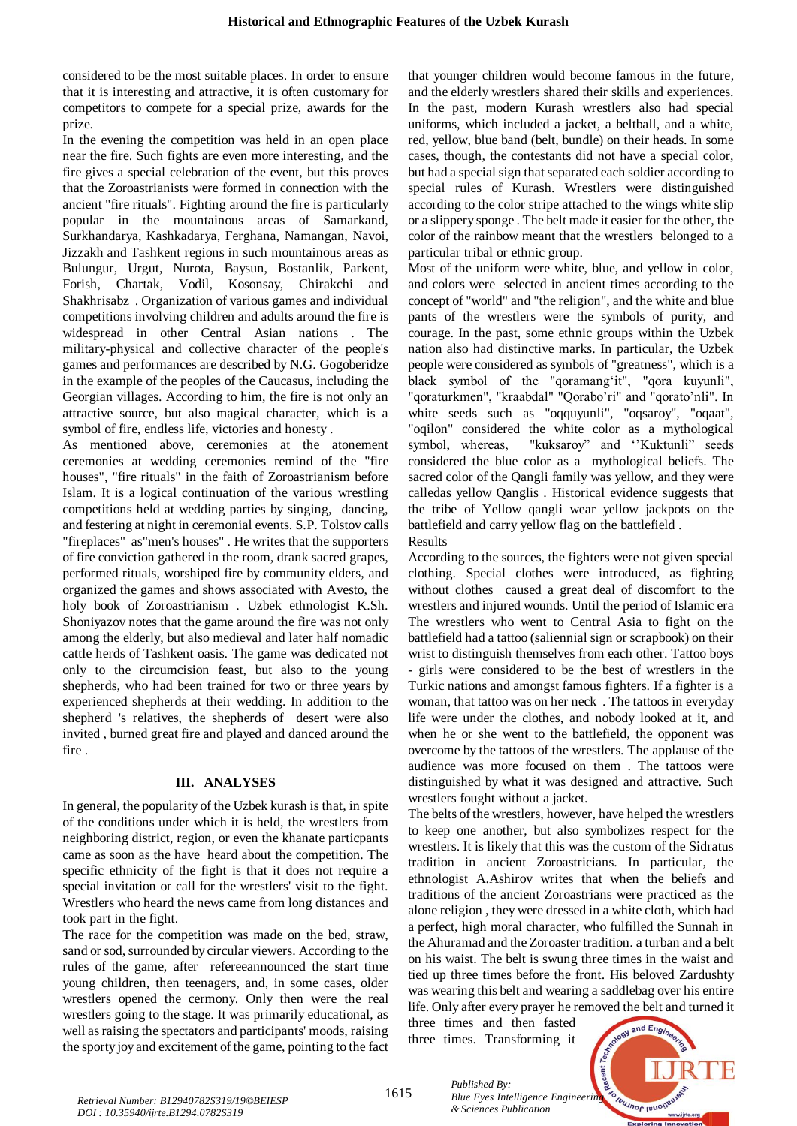considered to be the most suitable places. In order to ensure that it is interesting and attractive, it is often customary for competitors to compete for a special prize, awards for the prize.

In the evening the competition was held in an open place near the fire. Such fights are even more interesting, and the fire gives a special celebration of the event, but this proves that the Zoroastrianists were formed in connection with the ancient "fire rituals". Fighting around the fire is particularly popular in the mountainous areas of Samarkand, Surkhandarya, Kashkadarya, Ferghana, Namangan, Navoi, Jizzakh and Tashkent regions in such mountainous areas as Bulungur, Urgut, Nurota, Baysun, Bostanlik, Parkent, Forish, Chartak, Vodil, Kosonsay, Chirakchi and Shakhrisabz . Organization of various games and individual competitions involving children and adults around the fire is widespread in other Central Asian nations . The military-physical and collective character of the people's games and performances are described by N.G. Gogoberidze in the example of the peoples of the Caucasus, including the Georgian villages. According to him, the fire is not only an attractive source, but also magical character, which is a symbol of fire, endless life, victories and honesty .

As mentioned above, ceremonies at the atonement ceremonies at wedding ceremonies remind of the "fire houses", "fire rituals" in the faith of Zoroastrianism before Islam. It is a logical continuation of the various wrestling competitions held at wedding parties by singing, dancing, and festering at night in ceremonial events. S.P. Tolstov calls "fireplaces" as"men's houses" . He writes that the supporters of fire conviction gathered in the room, drank sacred grapes, performed rituals, worshiped fire by community elders, and organized the games and shows associated with Avesto, the holy book of Zoroastrianism . Uzbek ethnologist K.Sh. Shoniyazov notes that the game around the fire was not only among the elderly, but also medieval and later half nomadic cattle herds of Tashkent oasis. The game was dedicated not only to the circumcision feast, but also to the young shepherds, who had been trained for two or three years by experienced shepherds at their wedding. In addition to the shepherd 's relatives, the shepherds of desert were also invited , burned great fire and played and danced around the fire .

### **III. ANALYSES**

In general, the popularity of the Uzbek kurash is that, in spite of the conditions under which it is held, the wrestlers from neighboring district, region, or even the khanate particpants came as soon as the have heard about the competition. The specific ethnicity of the fight is that it does not require a special invitation or call for the wrestlers' visit to the fight. Wrestlers who heard the news came from long distances and took part in the fight.

The race for the competition was made on the bed, straw, sand or sod, surrounded by circular viewers. According to the rules of the game, after refereeannounced the start time young children, then teenagers, and, in some cases, older wrestlers opened the cermony. Only then were the real wrestlers going to the stage. It was primarily educational, as well as raising the spectators and participants' moods, raising the sporty joy and excitement of the game, pointing to the fact that younger children would become famous in the future, and the elderly wrestlers shared their skills and experiences. In the past, modern Kurash wrestlers also had special uniforms, which included a jacket, a beltball, and a white, red, yellow, blue band (belt, bundle) on their heads. In some cases, though, the contestants did not have a special color, but had a special sign that separated each soldier according to special rules of Kurash. Wrestlers were distinguished according to the color stripe attached to the wings white slip or a slippery sponge . The belt made it easier for the other, the color of the rainbow meant that the wrestlers belonged to a particular tribal or ethnic group.

Most of the uniform were white, blue, and yellow in color, and colors were selected in ancient times according to the concept of "world" and "the religion", and the white and blue pants of the wrestlers were the symbols of purity, and courage. In the past, some ethnic groups within the Uzbek nation also had distinctive marks. In particular, the Uzbek people were considered as symbols of "greatness", which is a black symbol of the "qoramang'it", "qora kuyunli", "qoraturkmen", "kraabdal" "Qorabo'ri" and "qorato'nli". In white seeds such as "oqquyunli", "oqsaroy", "oqaat", "oqilon" considered the white color as a mythological symbol, whereas, "kuksaroy" and ''Kuktunli" seeds considered the blue color as a mythological beliefs. The sacred color of the Qangli family was yellow, and they were calledas yellow Qanglis . Historical evidence suggests that the tribe of Yellow qangli wear yellow jackpots on the battlefield and carry yellow flag on the battlefield . Results

According to the sources, the fighters were not given special clothing. Special clothes were introduced, as fighting without clothes caused a great deal of discomfort to the wrestlers and injured wounds. Until the period of Islamic era The wrestlers who went to Central Asia to fight on the battlefield had a tattoo (saliennial sign or scrapbook) on their wrist to distinguish themselves from each other. Tattoo boys - girls were considered to be the best of wrestlers in the Turkic nations and amongst famous fighters. If a fighter is a woman, that tattoo was on her neck . The tattoos in everyday life were under the clothes, and nobody looked at it, and when he or she went to the battlefield, the opponent was overcome by the tattoos of the wrestlers. The applause of the audience was more focused on them . The tattoos were distinguished by what it was designed and attractive. Such wrestlers fought without a jacket.

The belts of the wrestlers, however, have helped the wrestlers to keep one another, but also symbolizes respect for the wrestlers. It is likely that this was the custom of the Sidratus tradition in ancient Zoroastricians. In particular, the ethnologist A.Ashirov writes that when the beliefs and traditions of the ancient Zoroastrians were practiced as the alone religion , they were dressed in a white cloth, which had a perfect, high moral character, who fulfilled the Sunnah in the Ahuramad and the Zoroaster tradition. a turban and a belt on his waist. The belt is swung three times in the waist and tied up three times before the front. His beloved Zardushty was wearing this belt and wearing a saddlebag over his entire life. Only after every prayer he removed the belt and turned it

three times and then fasted three times. Transforming it



1615

*Published By:* **Blue Eyes Intelligence Engineering Cleannop peroprimering Cleannop Persons** *& Sciences Publication*